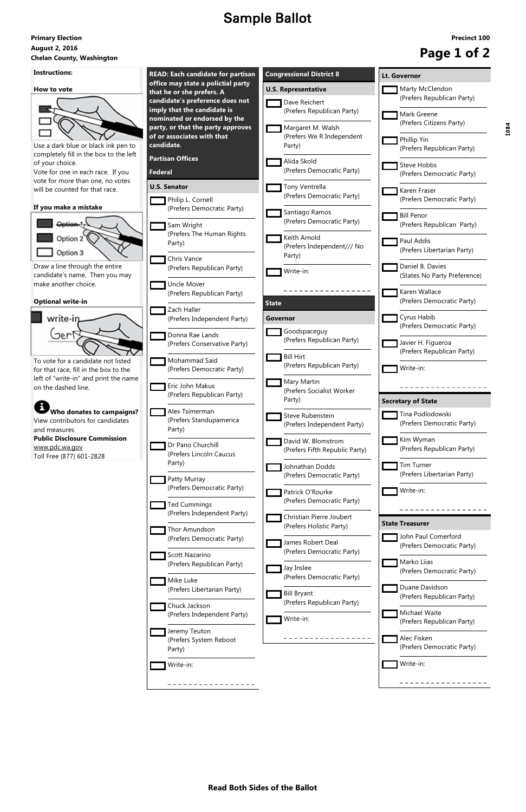